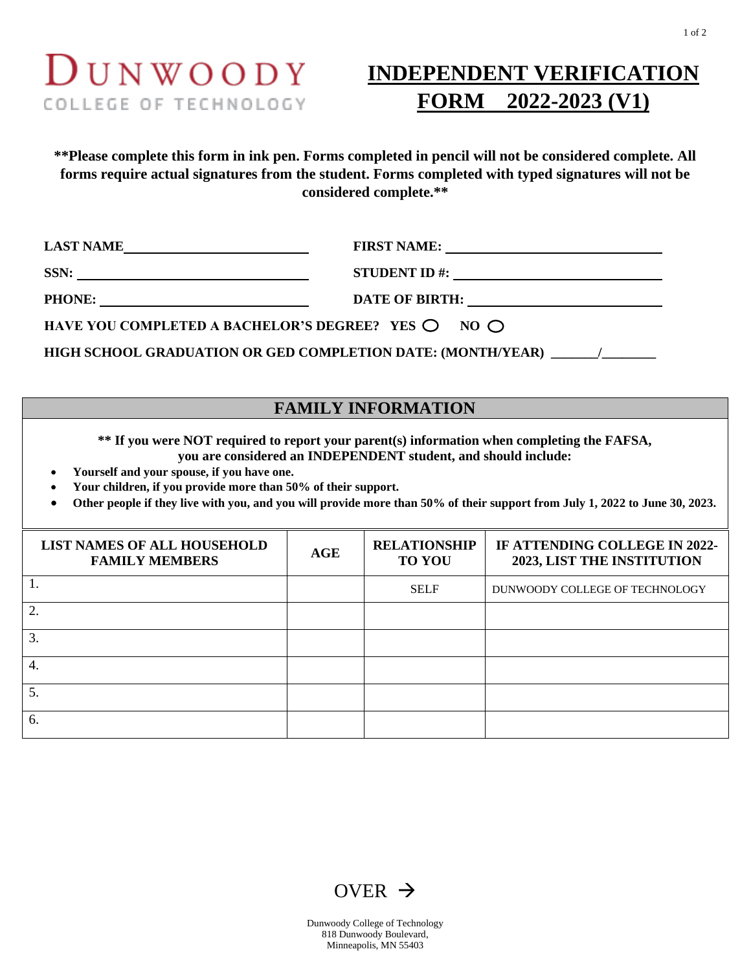## $D$ UNWOODY COLLEGE OF TECHNOLOGY

## **INDEPENDENT VERIFICATION FORM 2022-2023 (V1)**

**\*\*Please complete this form in ink pen. Forms completed in pencil will not be considered complete. All forms require actual signatures from the student. Forms completed with typed signatures will not be considered complete.\*\***

| LAST NAME                                                            |                                                                                                                                                                                                                                                                                                       |  |
|----------------------------------------------------------------------|-------------------------------------------------------------------------------------------------------------------------------------------------------------------------------------------------------------------------------------------------------------------------------------------------------|--|
| SSN:                                                                 | STUDENT ID #: $\sqrt{2\pi}$ = $\sqrt{2\pi}$ = $\sqrt{2\pi}$ = $\sqrt{2\pi}$ = $\sqrt{2\pi}$ = $\sqrt{2\pi}$ = $\sqrt{2\pi}$ = $\sqrt{2\pi}$ = $\sqrt{2\pi}$ = $\sqrt{2\pi}$ = $\sqrt{2\pi}$ = $\sqrt{2\pi}$ = $\sqrt{2\pi}$ = $\sqrt{2\pi}$ = $\sqrt{2\pi}$ = $\sqrt{2\pi}$ = $\sqrt{2\pi}$ = $\sqrt$ |  |
| PHONE:                                                               |                                                                                                                                                                                                                                                                                                       |  |
| HAVE YOU COMPLETED A BACHELOR'S DEGREE? YES $\bigcirc$ NO $\bigcirc$ |                                                                                                                                                                                                                                                                                                       |  |
| HIGH SCHOOL GRADUATION OR GED COMPLETION DATE: (MONTH/YEAR)          |                                                                                                                                                                                                                                                                                                       |  |

## **FAMILY INFORMATION**

**\*\* If you were NOT required to report your parent(s) information when completing the FAFSA, you are considered an INDEPENDENT student, and should include:**

- **Yourself and your spouse, if you have one.**
- **Your children, if you provide more than 50% of their support.**
- **Other people if they live with you, and you will provide more than 50% of their support from July 1, 2022 to June 30, 2023.**

| <b>LIST NAMES OF ALL HOUSEHOLD</b><br><b>FAMILY MEMBERS</b> | AGE | <b>RELATIONSHIP</b><br><b>TO YOU</b> | IF ATTENDING COLLEGE IN 2022-<br><b>2023, LIST THE INSTITUTION</b> |
|-------------------------------------------------------------|-----|--------------------------------------|--------------------------------------------------------------------|
|                                                             |     | <b>SELF</b>                          | DUNWOODY COLLEGE OF TECHNOLOGY                                     |
| 2.                                                          |     |                                      |                                                                    |
| 3.                                                          |     |                                      |                                                                    |
| 4.                                                          |     |                                      |                                                                    |
| 5.                                                          |     |                                      |                                                                    |
| 6.                                                          |     |                                      |                                                                    |





Dunwoody College of Technology 818 Dunwoody Boulevard, Minneapolis, MN 55403